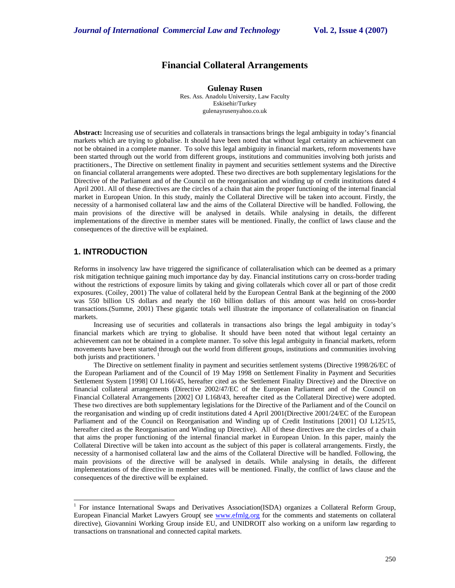# **Financial Collateral Arrangements**

**Gulenay Rusen**  Res. Ass. Anadolu University, Law Faculty Eskisehir/Turkey gulenayrusenyahoo.co.uk

**Abstract:** Increasing use of securities and collaterals in transactions brings the legal ambiguity in today's financial markets which are trying to globalise. It should have been noted that without legal certainty an achievement can not be obtained in a complete manner. To solve this legal ambiguity in financial markets, reform movements have been started through out the world from different groups, institutions and communities involving both jurists and practitioners., The Directive on settlement finality in payment and securities settlement systems and the Directive on financial collateral arrangements were adopted. These two directives are both supplementary legislations for the Directive of the Parliament and of the Council on the reorganisation and winding up of credit institutions dated 4 April 2001. All of these directives are the circles of a chain that aim the proper functioning of the internal financial market in European Union. In this study, mainly the Collateral Directive will be taken into account. Firstly, the necessity of a harmonised collateral law and the aims of the Collateral Directive will be handled. Following, the main provisions of the directive will be analysed in details. While analysing in details, the different implementations of the directive in member states will be mentioned. Finally, the conflict of laws clause and the consequences of the directive will be explained.

## **1. INTRODUCTION**

-

Reforms in insolvency law have triggered the significance of collateralisation which can be deemed as a primary risk mitigation technique gaining much importance day by day. Financial institutions carry on cross-border trading without the restrictions of exposure limits by taking and giving collaterals which cover all or part of those credit exposures. (Coiley, 2001) The value of collateral held by the European Central Bank at the beginning of the 2000 was 550 billion US dollars and nearly the 160 billion dollars of this amount was held on cross-border transactions.(Summe, 2001) These gigantic totals well illustrate the importance of collateralisation on financial markets.

Increasing use of securities and collaterals in transactions also brings the legal ambiguity in today's financial markets which are trying to globalise. It should have been noted that without legal certainty an achievement can not be obtained in a complete manner. To solve this legal ambiguity in financial markets, reform movements have been started through out the world from different groups, institutions and communities involving both jurists and practitioners.  $<sup>1</sup>$ </sup>

The Directive on settlement finality in payment and securities settlement systems (Directive 1998/26/EC of the European Parliament and of the Council of 19 May 1998 on Settlement Finality in Payment and Securities Settlement System [1998] OJ L166/45, hereafter cited as the Settlement Finality Directive) and the Directive on financial collateral arrangements (Directive 2002/47/EC of the European Parliament and of the Council on Financial Collateral Arrangements [2002] OJ L168/43, hereafter cited as the Collateral Directive) were adopted. These two directives are both supplementary legislations for the Directive of the Parliament and of the Council on the reorganisation and winding up of credit institutions dated 4 April 2001(Directive 2001/24/EC of the European Parliament and of the Council on Reorganisation and Winding up of Credit Institutions [2001] OJ L125/15, hereafter cited as the Reorganisation and Winding up Directive). All of these directives are the circles of a chain that aims the proper functioning of the internal financial market in European Union. In this paper, mainly the Collateral Directive will be taken into account as the subject of this paper is collateral arrangements. Firstly, the necessity of a harmonised collateral law and the aims of the Collateral Directive will be handled. Following, the main provisions of the directive will be analysed in details. While analysing in details, the different implementations of the directive in member states will be mentioned. Finally, the conflict of laws clause and the consequences of the directive will be explained.

<sup>&</sup>lt;sup>1</sup> For instance International Swaps and Derivatives Association(ISDA) organizes a Collateral Reform Group, European Financial Market Lawyers Group( see www.efmlg.org for the comments and statements on collateral directive), Giovannini Working Group inside EU, and UNIDROIT also working on a uniform law regarding to transactions on transnational and connected capital markets.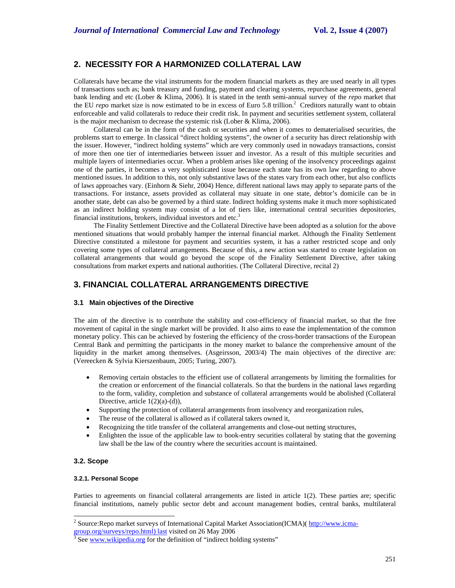# **2. NECESSITY FOR A HARMONIZED COLLATERAL LAW**

Collaterals have became the vital instruments for the modern financial markets as they are used nearly in all types of transactions such as; bank treasury and funding, payment and clearing systems, repurchase agreements, general bank lending and etc (Lober & Klima, 2006). It is stated in the tenth semi-annual survey of the *repo* market that the EU repo market size is now estimated to be in excess of Euro 5.8 trillion.<sup>2</sup> Creditors naturally want to obtain enforceable and valid collaterals to reduce their credit risk. In payment and securities settlement system, collateral is the major mechanism to decrease the systemic risk (Lober & Klima, 2006).

Collateral can be in the form of the cash or securities and when it comes to dematerialised securities, the problems start to emerge. In classical "direct holding systems", the owner of a security has direct relationship with the issuer. However, "indirect holding systems" which are very commonly used in nowadays transactions, consist of more then one tier of intermediaries between issuer and investor. As a result of this multiple securities and multiple layers of intermediaries occur. When a problem arises like opening of the insolvency proceedings against one of the parties, it becomes a very sophisticated issue because each state has its own law regarding to above mentioned issues. In addition to this, not only substantive laws of the states vary from each other, but also conflicts of laws approaches vary. (Einhorn & Siehr, 2004) Hence, different national laws may apply to separate parts of the transactions. For instance, assets provided as collateral may situate in one state, debtor's domicile can be in another state, debt can also be governed by a third state. Indirect holding systems make it much more sophisticated as an indirect holding system may consist of a lot of tiers like, international central securities depositories, financial institutions, brokers, individual investors and etc.<sup>3</sup>

The Finality Settlement Directive and the Collateral Directive have been adopted as a solution for the above mentioned situations that would probably hamper the internal financial market. Although the Finality Settlement Directive constituted a milestone for payment and securities system, it has a rather restricted scope and only covering some types of collateral arrangements. Because of this, a new action was started to create legislation on collateral arrangements that would go beyond the scope of the Finality Settlement Directive, after taking consultations from market experts and national authorities. (The Collateral Directive, recital 2)

# **3. FINANCIAL COLLATERAL ARRANGEMENTS DIRECTIVE**

## **3.1 Main objectives of the Directive**

The aim of the directive is to contribute the stability and cost-efficiency of financial market, so that the free movement of capital in the single market will be provided. It also aims to ease the implementation of the common monetary policy. This can be achieved by fostering the efficiency of the cross-border transactions of the European Central Bank and permitting the participants in the money market to balance the comprehensive amount of the liquidity in the market among themselves. (Asgeirsson, 2003/4) The main objectives of the directive are: (Vereecken & Sylvia Kierszenbaum, 2005; Turing, 2007).

- Removing certain obstacles to the efficient use of collateral arrangements by limiting the formalities for the creation or enforcement of the financial collaterals. So that the burdens in the national laws regarding to the form, validity, completion and substance of collateral arrangements would be abolished (Collateral Directive, article  $1(2)(a)-(d)$ ),
- Supporting the protection of collateral arrangements from insolvency and reorganization rules,
- The reuse of the collateral is allowed as if collateral takers owned it,
- Recognizing the title transfer of the collateral arrangements and close-out netting structures,
- Enlighten the issue of the applicable law to book-entry securities collateral by stating that the governing law shall be the law of the country where the securities account is maintained.

## **3.2. Scope**

-

## **3.2.1. Personal Scope**

Parties to agreements on financial collateral arrangements are listed in article 1(2). These parties are; specific financial institutions, namely public sector debt and account management bodies, central banks, multilateral

<sup>&</sup>lt;sup>2</sup> Source:Repo market surveys of International Capital Market Association(ICMA)( http://www.icmagroup.org/surveys/repo.html) last visited on 26 May 2006

 $3$  See www.wikipedia.org for the definition of "indirect holding systems"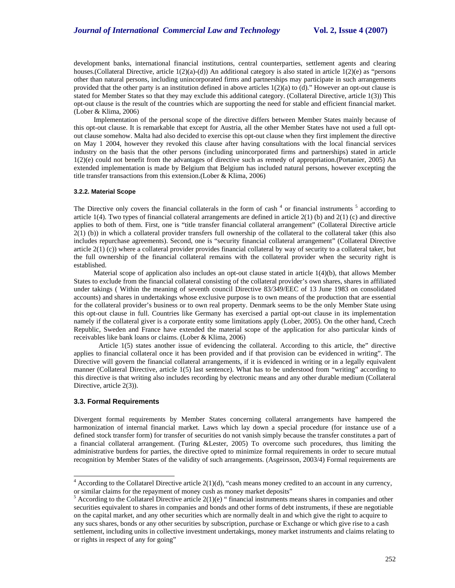## *Journal of International Commercial Law and Technology* Vol. 2, Issue 4 (2007)

development banks, international financial institutions, central counterparties, settlement agents and clearing houses.(Collateral Directive, article 1(2)(a)-(d)) An additional category is also stated in article 1(2)(e) as "persons other than natural persons, including unincorporated firms and partnerships may participate in such arrangements provided that the other party is an institution defined in above articles 1(2)(a) to (d)." However an opt-out clause is stated for Member States so that they may exclude this additional category. (Collateral Directive, article 1(3)) This opt-out clause is the result of the countries which are supporting the need for stable and efficient financial market. (Lober & Klima, 2006)

Implementation of the personal scope of the directive differs between Member States mainly because of this opt-out clause. It is remarkable that except for Austria, all the other Member States have not used a full optout clause somehow. Malta had also decided to exercise this opt-out clause when they first implement the directive on May 1 2004, however they revoked this clause after having consultations with the local financial services industry on the basis that the other persons (including unincorporated firms and partnerships) stated in article 1(2)(e) could not benefit from the advantages of directive such as remedy of appropriation.(Portanier, 2005) An extended implementation is made by Belgium that Belgium has included natural persons, however excepting the title transfer transactions from this extension.(Lober & Klima, 2006)

#### **3.2.2. Material Scope**

The Directive only covers the financial collaterals in the form of cash  $4$  or financial instruments  $5$  according to article 1(4). Two types of financial collateral arrangements are defined in article 2(1) (b) and 2(1) (c) and directive applies to both of them. First, one is "title transfer financial collateral arrangement" (Collateral Directive article 2(1) (b)) in which a collateral provider transfers full ownership of the collateral to the collateral taker (this also includes repurchase agreements). Second, one is "security financial collateral arrangement" (Collateral Directive article 2(1) (c)) where a collateral provider provides financial collateral by way of security to a collateral taker, but the full ownership of the financial collateral remains with the collateral provider when the security right is established.

Material scope of application also includes an opt-out clause stated in article 1(4)(b), that allows Member States to exclude from the financial collateral consisting of the collateral provider's own shares, shares in affiliated under takings ( Within the meaning of seventh council Directive 83/349/EEC of 13 June 1983 on consolidated accounts) and shares in undertakings whose exclusive purpose is to own means of the production that are essential for the collateral provider's business or to own real property. Denmark seems to be the only Member State using this opt-out clause in full. Countries like Germany has exercised a partial opt-out clause in its implementation namely if the collateral giver is a corporate entity some limitations apply (Lober, 2005). On the other hand, Czech Republic, Sweden and France have extended the material scope of the application for also particular kinds of receivables like bank loans or claims. (Lober & Klima, 2006)

 Article 1(5) states another issue of evidencing the collateral. According to this article, the" directive applies to financial collateral once it has been provided and if that provision can be evidenced in writing". The Directive will govern the financial collateral arrangements, if it is evidenced in writing or in a legally equivalent manner (Collateral Directive, article 1(5) last sentence). What has to be understood from "writing" according to this directive is that writing also includes recording by electronic means and any other durable medium (Collateral Directive, article 2(3)).

### **3.3. Formal Requirements**

-

 Divergent formal requirements by Member States concerning collateral arrangements have hampered the harmonization of internal financial market. Laws which lay down a special procedure (for instance use of a defined stock transfer form) for transfer of securities do not vanish simply because the transfer constitutes a part of a financial collateral arrangement. (Turing &Lester, 2005) To overcome such procedures, thus limiting the administrative burdens for parties, the directive opted to minimize formal requirements in order to secure mutual recognition by Member States of the validity of such arrangements. (Asgeirsson, 2003/4) Formal requirements are

 $4$  According to the Collatarel Directive article 2(1)(d), "cash means money credited to an account in any currency, or similar claims for the repayment of money cush as money market deposits"

<sup>5</sup> According to the Collatarel Directive article  $2(1)(e)$  "financial instruments means shares in companies and other securities equivalent to shares in companies and bonds and other forms of debt instruments, if these are negotiable on the capital market, and any other securities which are normally dealt in and which give the right to acquire to any sucs shares, bonds or any other securities by subscription, purchase or Exchange or which give rise to a cash settlement, including units in collective investment undertakings, money market instruments and claims relating to or rights in respect of any for going"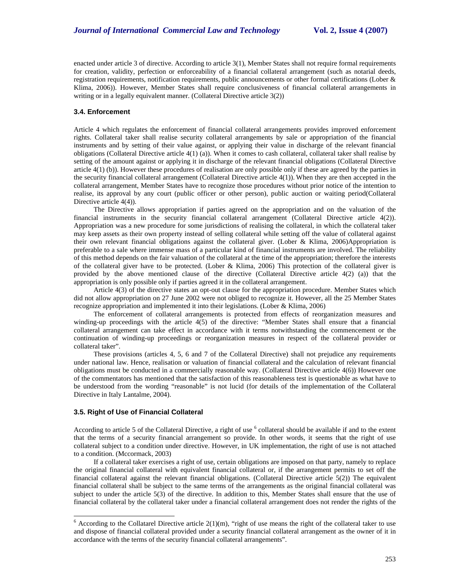enacted under article 3 of directive. According to article 3(1), Member States shall not require formal requirements for creation, validity, perfection or enforceability of a financial collateral arrangement (such as notarial deeds, registration requirements, notification requirements, public announcements or other formal certifications (Lober & Klima, 2006)). However, Member States shall require conclusiveness of financial collateral arrangements in writing or in a legally equivalent manner. (Collateral Directive article 3(2))

### **3.4. Enforcement**

Article 4 which regulates the enforcement of financial collateral arrangements provides improved enforcement rights. Collateral taker shall realise security collateral arrangements by sale or appropriation of the financial instruments and by setting of their value against, or applying their value in discharge of the relevant financial obligations (Collateral Directive article  $4(1)$  (a)). When it comes to cash collateral, collateral taker shall realise by setting of the amount against or applying it in discharge of the relevant financial obligations (Collateral Directive article 4(1) (b)). However these procedures of realisation are only possible only if these are agreed by the parties in the security financial collateral arrangement (Collateral Directive article 4(1)). When they are then accepted in the collateral arrangement, Member States have to recognize those procedures without prior notice of the intention to realise, its approval by any court (public officer or other person), public auction or waiting period(Collateral Directive article 4(4)).

The Directive allows appropriation if parties agreed on the appropriation and on the valuation of the financial instruments in the security financial collateral arrangement (Collateral Directive article 4(2)). Appropriation was a new procedure for some jurisdictions of realising the collateral, in which the collateral taker may keep assets as their own property instead of selling collateral while setting off the value of collateral against their own relevant financial obligations against the collateral giver. (Lober & Klima, 2006)Appropriation is preferable to a sale where immense mass of a particular kind of financial instruments are involved. The reliability of this method depends on the fair valuation of the collateral at the time of the appropriation; therefore the interests of the collateral giver have to be protected. (Lober & Klima, 2006) This protection of the collateral giver is provided by the above mentioned clause of the directive (Collateral Directive article 4(2) (a)) that the appropriation is only possible only if parties agreed it in the collateral arrangement.

Article 4(3) of the directive states an opt-out clause for the appropriation procedure. Member States which did not allow appropriation on 27 June 2002 were not obliged to recognize it. However, all the 25 Member States recognize appropriation and implemented it into their legislations. (Lober & Klima, 2006)

The enforcement of collateral arrangements is protected from effects of reorganization measures and winding-up proceedings with the article 4(5) of the directive: "Member States shall ensure that a financial collateral arrangement can take effect in accordance with it terms notwithstanding the commencement or the continuation of winding-up proceedings or reorganization measures in respect of the collateral provider or collateral taker".

These provisions (articles 4, 5, 6 and 7 of the Collateral Directive) shall not prejudice any requirements under national law. Hence, realisation or valuation of financial collateral and the calculation of relevant financial obligations must be conducted in a commercially reasonable way. (Collateral Directive article 4(6)) However one of the commentators has mentioned that the satisfaction of this reasonableness test is questionable as what have to be understood from the wording "reasonable" is not lucid (for details of the implementation of the Collateral Directive in Italy Lantalme, 2004).

## **3.5. Right of Use of Financial Collateral**

-

According to article 5 of the Collateral Directive, a right of use <sup>6</sup> collateral should be available if and to the extent that the terms of a security financial arrangement so provide. In other words, it seems that the right of use collateral subject to a condition under directive. However, in UK implementation, the right of use is not attached to a condition. (Mccormack, 2003)

If a collateral taker exercises a right of use, certain obligations are imposed on that party, namely to replace the original financial collateral with equivalent financial collateral or, if the arrangement permits to set off the financial collateral against the relevant financial obligations. (Collateral Directive article 5(2)) The equivalent financial collateral shall be subject to the same terms of the arrangements as the original financial collateral was subject to under the article 5(3) of the directive. In addition to this, Member States shall ensure that the use of financial collateral by the collateral taker under a financial collateral arrangement does not render the rights of the

 $6$  According to the Collatarel Directive article 2(1)(m), "right of use means the right of the collateral taker to use and dispose of financial collateral provided under a security financial collateral arrangement as the owner of it in accordance with the terms of the security financial collateral arrangements".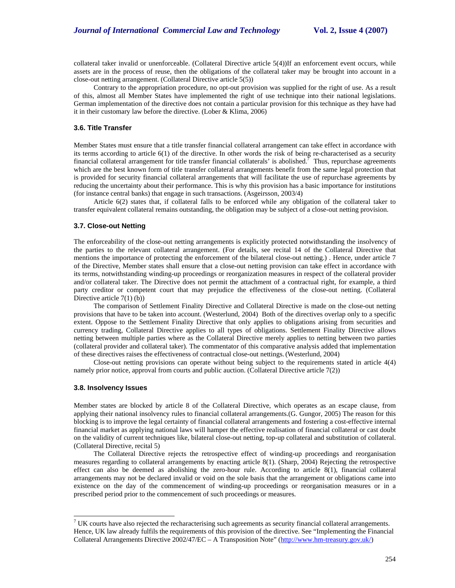collateral taker invalid or unenforceable. (Collateral Directive article 5(4))If an enforcement event occurs, while assets are in the process of reuse, then the obligations of the collateral taker may be brought into account in a close-out netting arrangement. (Collateral Directive article 5(5))

Contrary to the appropriation procedure, no opt-out provision was supplied for the right of use. As a result of this, almost all Member States have implemented the right of use technique into their national legislations. German implementation of the directive does not contain a particular provision for this technique as they have had it in their customary law before the directive. (Lober & Klima, 2006)

### **3.6. Title Transfer**

Member States must ensure that a title transfer financial collateral arrangement can take effect in accordance with its terms according to article 6(1) of the directive. In other words the risk of being re-characterised as a security financial collateral arrangement for title transfer financial collaterals' is abolished.<sup>7</sup> Thus, repurchase agreements which are the best known form of title transfer collateral arrangements benefit from the same legal protection that is provided for security financial collateral arrangements that will facilitate the use of repurchase agreements by reducing the uncertainty about their performance. This is why this provision has a basic importance for institutions (for instance central banks) that engage in such transactions. (Asgeirsson, 2003/4)

Article 6(2) states that, if collateral falls to be enforced while any obligation of the collateral taker to transfer equivalent collateral remains outstanding, the obligation may be subject of a close-out netting provision.

### **3.7. Close-out Netting**

The enforceability of the close-out netting arrangements is explicitly protected notwithstanding the insolvency of the parties to the relevant collateral arrangement. (For details, see recital 14 of the Collateral Directive that mentions the importance of protecting the enforcement of the bilateral close-out netting.) . Hence, under article 7 of the Directive, Member states shall ensure that a close-out netting provision can take effect in accordance with its terms, notwithstanding winding-up proceedings or reorganization measures in respect of the collateral provider and/or collateral taker. The Directive does not permit the attachment of a contractual right, for example, a third party creditor or competent court that may prejudice the effectiveness of the close-out netting. (Collateral Directive article 7(1) (b))

The comparison of Settlement Finality Directive and Collateral Directive is made on the close-out netting provisions that have to be taken into account. (Westerlund, 2004) Both of the directives overlap only to a specific extent. Oppose to the Settlement Finality Directive that only applies to obligations arising from securities and currency trading, Collateral Directive applies to all types of obligations. Settlement Finality Directive allows netting between multiple parties where as the Collateral Directive merely applies to netting between two parties (collateral provider and collateral taker). The commentator of this comparative analysis added that implementation of these directives raises the effectiveness of contractual close-out nettings.(Westerlund, 2004)

Close-out netting provisions can operate without being subject to the requirements stated in article 4(4) namely prior notice, approval from courts and public auction. (Collateral Directive article 7(2))

#### **3.8. Insolvency Issues**

-

Member states are blocked by article 8 of the Collateral Directive, which operates as an escape clause, from applying their national insolvency rules to financial collateral arrangements.(G. Gungor, 2005) The reason for this blocking is to improve the legal certainty of financial collateral arrangements and fostering a cost-effective internal financial market as applying national laws will hamper the effective realisation of financial collateral or cast doubt on the validity of current techniques like, bilateral close-out netting, top-up collateral and substitution of collateral. (Collateral Directive, recital 5)

The Collateral Directive rejects the retrospective effect of winding-up proceedings and reorganisation measures regarding to collateral arrangements by enacting article 8(1). (Sharp, 2004) Rejecting the retrospective effect can also be deemed as abolishing the zero-hour rule. According to article 8(1), financial collateral arrangements may not be declared invalid or void on the sole basis that the arrangement or obligations came into existence on the day of the commencement of winding-up proceedings or reorganisation measures or in a prescribed period prior to the commencement of such proceedings or measures.

 $7$  UK courts have also rejected the recharacterising such agreements as security financial collateral arrangements. Hence, UK law already fulfils the requirements of this provision of the directive. See "Implementing the Financial Collateral Arrangements Directive 2002/47/EC – A Transposition Note" (http://www.hm-treasury.gov.uk/)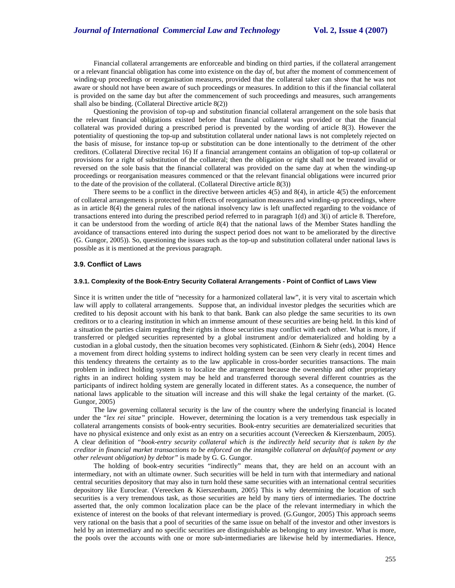Financial collateral arrangements are enforceable and binding on third parties, if the collateral arrangement or a relevant financial obligation has come into existence on the day of, but after the moment of commencement of winding-up proceedings or reorganisation measures, provided that the collateral taker can show that he was not aware or should not have been aware of such proceedings or measures. In addition to this if the financial collateral is provided on the same day but after the commencement of such proceedings and measures, such arrangements shall also be binding. (Collateral Directive article 8(2))

Questioning the provision of top-up and substitution financial collateral arrangement on the sole basis that the relevant financial obligations existed before that financial collateral was provided or that the financial collateral was provided during a prescribed period is prevented by the wording of article 8(3). However the potentiality of questioning the top-up and substitution collateral under national laws is not completely rejected on the basis of misuse, for instance top-up or substitution can be done intentionally to the detriment of the other creditors. (Collateral Directive recital 16) If a financial arrangement contains an obligation of top-up collateral or provisions for a right of substitution of the collateral; then the obligation or right shall not be treated invalid or reversed on the sole basis that the financial collateral was provided on the same day at when the winding-up proceedings or reorganisation measures commenced or that the relevant financial obligations were incurred prior to the date of the provision of the collateral. (Collateral Directive article 8(3))

There seems to be a conflict in the directive between articles  $4(5)$  and  $8(4)$ , in article  $4(5)$  the enforcement of collateral arrangements is protected from effects of reorganisation measures and winding-up proceedings, where as in article 8(4) the general rules of the national insolvency law is left unaffected regarding to the voidance of transactions entered into during the prescribed period referred to in paragraph 1(d) and 3(i) of article 8. Therefore, it can be understood from the wording of article 8(4) that the national laws of the Member States handling the avoidance of transactions entered into during the suspect period does not want to be ameliorated by the directive (G. Gungor, 2005)). So, questioning the issues such as the top-up and substitution collateral under national laws is possible as it is mentioned at the previous paragraph.

### **3.9. Conflict of Laws**

#### **3.9.1. Complexity of the Book-Entry Security Collateral Arrangements - Point of Conflict of Laws View**

Since it is written under the title of "necessity for a harmonized collateral law", it is very vital to ascertain which law will apply to collateral arrangements. Suppose that, an individual investor pledges the securities which are credited to his deposit account with his bank to that bank. Bank can also pledge the same securities to its own creditors or to a clearing institution in which an immense amount of these securities are being held. In this kind of a situation the parties claim regarding their rights in those securities may conflict with each other. What is more, if transferred or pledged securities represented by a global instrument and/or dematerialized and holding by a custodian in a global custody, then the situation becomes very sophisticated. (Einhorn & Siehr (eds), 2004) Hence a movement from direct holding systems to indirect holding system can be seen very clearly in recent times and this tendency threatens the certainty as to the law applicable in cross-border securities transactions. The main problem in indirect holding system is to localize the arrangement because the ownership and other proprietary rights in an indirect holding system may be held and transferred thorough several different countries as the participants of indirect holding system are generally located in different states. As a consequence, the number of national laws applicable to the situation will increase and this will shake the legal certainty of the market. (G. Gungor, 2005)

The law governing collateral security is the law of the country where the underlying financial is located under the "*lex rei sitae"* principle. However, determining the location is a very tremendous task especially in collateral arrangements consists of book-entry securities. Book-entry securities are dematerialized securities that have no physical existence and only exist as an entry on a securities account (Vereecken & Kierszenbaum, 2005). A clear definition of *"book-entry security collateral which is the indirectly held security that is taken by the creditor in financial market transactions to be enforced on the intangible collateral on default(of payment or any other relevant obligation) by debtor"* is made by G. G. Gungor.

The holding of book-entry securities "indirectly" means that, they are held on an account with an intermediary, not with an ultimate owner. Such securities will be held in turn with that intermediary and national central securities depository that may also in turn hold these same securities with an international central securities depository like Euroclear. (Vereecken & Kierszenbaum, 2005) This is why determining the location of such securities is a very tremendous task, as those securities are held by many tiers of intermediaries. The doctrine asserted that, the only common localization place can be the place of the relevant intermediary in which the existence of interest on the books of that relevant intermediary is proved. (G.Gungor, 2005) This approach seems very rational on the basis that a pool of securities of the same issue on behalf of the investor and other investors is held by an intermediary and no specific securities are distinguishable as belonging to any investor. What is more, the pools over the accounts with one or more sub-intermediaries are likewise held by intermediaries. Hence,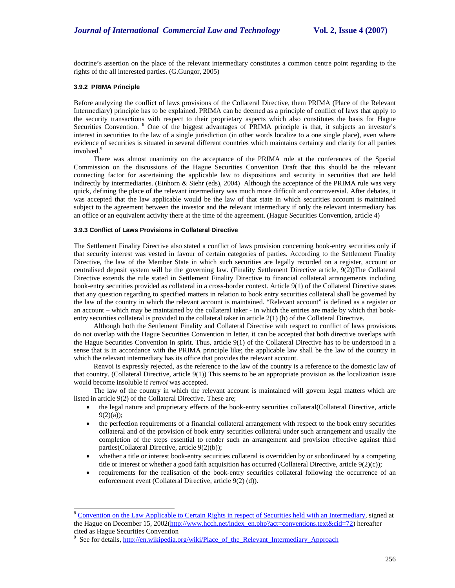doctrine's assertion on the place of the relevant intermediary constitutes a common centre point regarding to the rights of the all interested parties. (G.Gungor, 2005)

### **3.9.2 PRIMA Principle**

-

Before analyzing the conflict of laws provisions of the Collateral Directive, them PRIMA (Place of the Relevant Intermediary) principle has to be explained. PRIMA can be deemed as a principle of conflict of laws that apply to the security transactions with respect to their proprietary aspects which also constitutes the basis for Hague Securities Convention. <sup>8</sup> One of the biggest advantages of PRIMA principle is that, it subjects an investor's interest in securities to the law of a single jurisdiction (in other words localize to a one single place), even where evidence of securities is situated in several different countries which maintains certainty and clarity for all parties involved.<sup>9</sup>

There was almost unanimity on the acceptance of the PRIMA rule at the conferences of the Special Commission on the discussions of the Hague Securities Convention Draft that this should be the relevant connecting factor for ascertaining the applicable law to dispositions and security in securities that are held indirectly by intermediaries. (Einhorn & Siehr (eds), 2004) Although the acceptance of the PRIMA rule was very quick, defining the place of the relevant intermediary was much more difficult and controversial. After debates, it was accepted that the law applicable would be the law of that state in which securities account is maintained subject to the agreement between the investor and the relevant intermediary if only the relevant intermediary has an office or an equivalent activity there at the time of the agreement. (Hague Securities Convention, article 4)

#### **3.9.3 Conflict of Laws Provisions in Collateral Directive**

The Settlement Finality Directive also stated a conflict of laws provision concerning book-entry securities only if that security interest was vested in favour of certain categories of parties. According to the Settlement Finality Directive, the law of the Member State in which such securities are legally recorded on a register, account or centralised deposit system will be the governing law. (Finality Settlement Directive article, 9(2))The Collateral Directive extends the rule stated in Settlement Finality Directive to financial collateral arrangements including book-entry securities provided as collateral in a cross-border context. Article 9(1) of the Collateral Directive states that any question regarding to specified matters in relation to book entry securities collateral shall be governed by the law of the country in which the relevant account is maintained. "Relevant account" is defined as a register or an account – which may be maintained by the collateral taker - in which the entries are made by which that bookentry securities collateral is provided to the collateral taker in article 2(1) (h) of the Collateral Directive.

Although both the Settlement Finality and Collateral Directive with respect to conflict of laws provisions do not overlap with the Hague Securities Convention in letter, it can be accepted that both directive overlaps with the Hague Securities Convention in spirit. Thus, article 9(1) of the Collateral Directive has to be understood in a sense that is in accordance with the PRIMA principle like; the applicable law shall be the law of the country in which the relevant intermediary has its office that provides the relevant account.

Renvoi is expressly rejected, as the reference to the law of the country is a reference to the domestic law of that country. (Collateral Directive, article 9(1)) This seems to be an appropriate provision as the localization issue would become insoluble if *renvoi* was accepted.

The law of the country in which the relevant account is maintained will govern legal matters which are listed in article 9(2) of the Collateral Directive. These are;

- the legal nature and proprietary effects of the book-entry securities collateral(Collateral Directive, article  $9(2)(a)$ :
- the perfection requirements of a financial collateral arrangement with respect to the book entry securities collateral and of the provision of book entry securities collateral under such arrangement and usually the completion of the steps essential to render such an arrangement and provision effective against third parties(Collateral Directive, article 9(2)(b));
- whether a title or interest book-entry securities collateral is overridden by or subordinated by a competing title or interest or whether a good faith acquisition has occurred (Collateral Directive, article  $9(2)(c)$ );
- requirements for the realisation of the book-entry securities collateral following the occurrence of an enforcement event (Collateral Directive, article 9(2) (d)).

<sup>&</sup>lt;sup>8</sup> Convention on the Law Applicable to Certain Rights in respect of Securities held with an Intermediary, signed at the Hague on December 15, 2002(http://www.hcch.net/index\_en.php?act=conventions.text&cid=72) hereafter cited as Hague Securities Convention

<sup>&</sup>lt;sup>9</sup> See for details, http://en.wikipedia.org/wiki/Place\_of\_the\_Relevant\_Intermediary\_Approach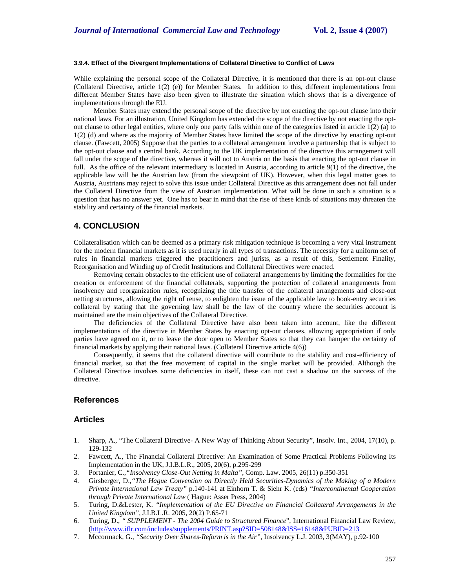### **3.9.4. Effect of the Divergent Implementations of Collateral Directive to Conflict of Laws**

While explaining the personal scope of the Collateral Directive, it is mentioned that there is an opt-out clause (Collateral Directive, article 1(2) (e)) for Member States. In addition to this, different implementations from different Member States have also been given to illustrate the situation which shows that is a divergence of implementations through the EU.

Member States may extend the personal scope of the directive by not enacting the opt-out clause into their national laws. For an illustration, United Kingdom has extended the scope of the directive by not enacting the optout clause to other legal entities, where only one party falls within one of the categories listed in article 1(2) (a) to 1(2) (d) and where as the majority of Member States have limited the scope of the directive by enacting opt-out clause. (Fawcett, 2005) Suppose that the parties to a collateral arrangement involve a partnership that is subject to the opt-out clause and a central bank. According to the UK implementation of the directive this arrangement will fall under the scope of the directive, whereas it will not to Austria on the basis that enacting the opt-out clause in full. As the office of the relevant intermediary is located in Austria, according to article 9(1) of the directive, the applicable law will be the Austrian law (from the viewpoint of UK). However, when this legal matter goes to Austria, Austrians may reject to solve this issue under Collateral Directive as this arrangement does not fall under the Collateral Directive from the view of Austrian implementation. What will be done in such a situation is a question that has no answer yet. One has to bear in mind that the rise of these kinds of situations may threaten the stability and certainty of the financial markets.

## **4. CONCLUSION**

Collateralisation which can be deemed as a primary risk mitigation technique is becoming a very vital instrument for the modern financial markets as it is used nearly in all types of transactions. The necessity for a uniform set of rules in financial markets triggered the practitioners and jurists, as a result of this, Settlement Finality, Reorganisation and Winding up of Credit Institutions and Collateral Directives were enacted.

Removing certain obstacles to the efficient use of collateral arrangements by limiting the formalities for the creation or enforcement of the financial collaterals, supporting the protection of collateral arrangements from insolvency and reorganization rules, recognizing the title transfer of the collateral arrangements and close-out netting structures, allowing the right of reuse, to enlighten the issue of the applicable law to book-entry securities collateral by stating that the governing law shall be the law of the country where the securities account is maintained are the main objectives of the Collateral Directive.

The deficiencies of the Collateral Directive have also been taken into account, like the different implementations of the directive in Member States by enacting opt-out clauses, allowing appropriation if only parties have agreed on it, or to leave the door open to Member States so that they can hamper the certainty of financial markets by applying their national laws. (Collateral Directive article 4(6))

Consequently, it seems that the collateral directive will contribute to the stability and cost-efficiency of financial market, so that the free movement of capital in the single market will be provided. Although the Collateral Directive involves some deficiencies in itself, these can not cast a shadow on the success of the directive.

## **References**

## **Articles**

- 1. Sharp, A., "The Collateral Directive- A New Way of Thinking About Security", Insolv. Int., 2004, 17(10), p. 129-132
- 2. Fawcett, A., The Financial Collateral Directive: An Examination of Some Practical Problems Following Its Implementation in the UK, J.I.B.L.R., 2005, 20(6), p.295-299
- 3. Portanier, C.,*"Insolvency Close-Out Netting in Malta",* Comp. Law. 2005, 26(11) p.350-351
- 4. Girsberger, D.,*"The Hague Convention on Directly Held Securities-Dynamics of the Making of a Modern Private International Law Treaty"* p.140-141 at Einhorn T. & Siehr K. (eds) *"Intercontinental Cooperation through Private International Law* ( Hague: Asser Press, 2004)
- 5. Turing, D.&Lester, K. *"Implementation of the EU Directive on Financial Collateral Arrangements in the United Kingdom"*, J.I.B.L.R. 2005, 20(2) P.65-71
- 6. Turing, D., *" SUPPLEMENT The 2004 Guide to Structured Finance*", International Financial Law Review, (http://www.iflr.com/includes/supplements/PRINT.asp?SID=508148&ISS=16148&PUBID=213
- 7. Mccormack, G., *"Security Over Shares-Reform is in the Air"*, Insolvency L.J. 2003, 3(MAY), p.92-100